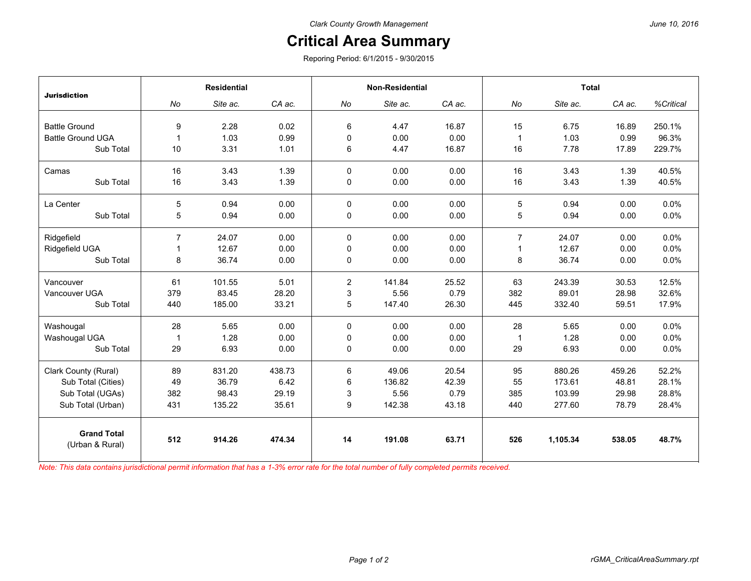## **Critical Area Summary**

Reporing Period: 6/1/2015 - 9/30/2015

| <b>Jurisdiction</b>                   | <b>Residential</b> |          |        | <b>Non-Residential</b> |          |        | <b>Total</b>   |          |        |           |
|---------------------------------------|--------------------|----------|--------|------------------------|----------|--------|----------------|----------|--------|-----------|
|                                       | No                 | Site ac. | CA ac. | No                     | Site ac. | CA ac. | No             | Site ac. | CA ac. | %Critical |
|                                       |                    |          |        |                        |          |        |                |          |        |           |
| <b>Battle Ground</b>                  | 9                  | 2.28     | 0.02   | 6                      | 4.47     | 16.87  | 15             | 6.75     | 16.89  | 250.1%    |
| <b>Battle Ground UGA</b>              |                    | 1.03     | 0.99   | $\mathbf 0$            | 0.00     | 0.00   | $\mathbf{1}$   | 1.03     | 0.99   | 96.3%     |
| Sub Total                             | 10                 | 3.31     | 1.01   | 6                      | 4.47     | 16.87  | 16             | 7.78     | 17.89  | 229.7%    |
| Camas                                 | 16                 | 3.43     | 1.39   | $\Omega$               | 0.00     | 0.00   | 16             | 3.43     | 1.39   | 40.5%     |
| Sub Total                             | 16                 | 3.43     | 1.39   | 0                      | 0.00     | 0.00   | 16             | 3.43     | 1.39   | 40.5%     |
| La Center                             | 5                  | 0.94     | 0.00   | $\Omega$               | 0.00     | 0.00   | 5              | 0.94     | 0.00   | 0.0%      |
| Sub Total                             | 5                  | 0.94     | 0.00   | $\mathbf 0$            | 0.00     | 0.00   | 5              | 0.94     | 0.00   | 0.0%      |
| Ridgefield                            | $\overline{7}$     | 24.07    | 0.00   | $\Omega$               | 0.00     | 0.00   | $\overline{7}$ | 24.07    | 0.00   | 0.0%      |
| Ridgefield UGA                        |                    | 12.67    | 0.00   | 0                      | 0.00     | 0.00   | 1              | 12.67    | 0.00   | 0.0%      |
| Sub Total                             | 8                  | 36.74    | 0.00   | 0                      | 0.00     | 0.00   | 8              | 36.74    | 0.00   | 0.0%      |
| Vancouver                             | 61                 | 101.55   | 5.01   | $\overline{2}$         | 141.84   | 25.52  | 63             | 243.39   | 30.53  | 12.5%     |
| Vancouver UGA                         | 379                | 83.45    | 28.20  | 3                      | 5.56     | 0.79   | 382            | 89.01    | 28.98  | 32.6%     |
| Sub Total                             | 440                | 185.00   | 33.21  | 5                      | 147.40   | 26.30  | 445            | 332.40   | 59.51  | 17.9%     |
|                                       |                    |          |        |                        |          |        |                |          |        |           |
| Washougal                             | 28                 | 5.65     | 0.00   | $\Omega$               | 0.00     | 0.00   | 28             | 5.65     | 0.00   | 0.0%      |
| Washougal UGA                         | -1                 | 1.28     | 0.00   | 0                      | 0.00     | 0.00   | $\mathbf{1}$   | 1.28     | 0.00   | 0.0%      |
| Sub Total                             | 29                 | 6.93     | 0.00   | $\mathbf 0$            | 0.00     | 0.00   | 29             | 6.93     | 0.00   | 0.0%      |
| Clark County (Rural)                  | 89                 | 831.20   | 438.73 | 6                      | 49.06    | 20.54  | 95             | 880.26   | 459.26 | 52.2%     |
| Sub Total (Cities)                    | 49                 | 36.79    | 6.42   | 6                      | 136.82   | 42.39  | 55             | 173.61   | 48.81  | 28.1%     |
| Sub Total (UGAs)                      | 382                | 98.43    | 29.19  | 3                      | 5.56     | 0.79   | 385            | 103.99   | 29.98  | 28.8%     |
| Sub Total (Urban)                     | 431                | 135.22   | 35.61  | 9                      | 142.38   | 43.18  | 440            | 277.60   | 78.79  | 28.4%     |
| <b>Grand Total</b><br>(Urban & Rural) | 512                | 914.26   | 474.34 | 14                     | 191.08   | 63.71  | 526            | 1.105.34 | 538.05 | 48.7%     |

*Note: This data contains jurisdictional permit information that has a 1-3% error rate for the total number of fully completed permits received.*